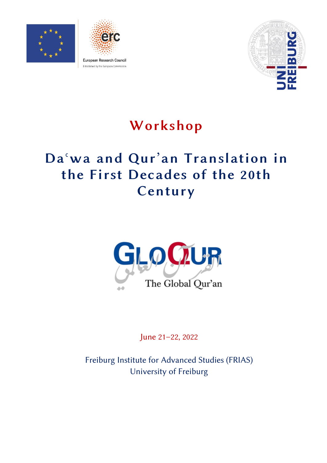





Established by the European Commission

# Workshop

# Daʿwa and Qur'an Translation in the First Decades of the 20th Century



June 21–22, 2022

Freiburg Institute for Advanced Studies (FRIAS) University of Freiburg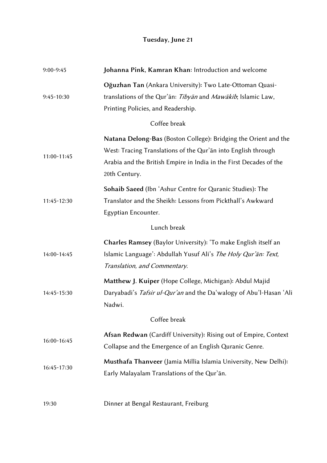## Tuesday, June 21

| $9:00-9:45$  | Johanna Pink, Kamran Khan: Introduction and welcome                                                                                                                                                                     |  |
|--------------|-------------------------------------------------------------------------------------------------------------------------------------------------------------------------------------------------------------------------|--|
| $9:45-10:30$ | Oğuzhan Tan (Ankara University): Two Late-Ottoman Quasi-<br>translations of the Qur'an: Tibyan and Mawakib, Islamic Law,<br>Printing Policies, and Readership.                                                          |  |
| Coffee break |                                                                                                                                                                                                                         |  |
| 11:00-11:45  | Natana Delong-Bas (Boston College): Bridging the Orient and the<br>West: Tracing Translations of the Qur'an into English through<br>Arabia and the British Empire in India in the First Decades of the<br>20th Century. |  |
| 11:45-12:30  | Sohaib Saeed (Ibn 'Ashur Centre for Quranic Studies): The<br>Translator and the Sheikh: Lessons from Pickthall's Awkward<br>Egyptian Encounter.                                                                         |  |
| Lunch break  |                                                                                                                                                                                                                         |  |
| 14:00-14:45  | Charles Ramsey (Baylor University): 'To make English itself an<br>Islamic Language': Abdullah Yusuf Ali's The Holy Qur'an: Text,<br>Translation, and Commentary.                                                        |  |
| 14:45-15:30  | Matthew J. Kuiper (Hope College, Michigan): Abdul Majid<br>Daryabadi's Tafsir ul-Qur'an and the Da'walogy of Abu'l-Hasan 'Ali<br>Nadwi.                                                                                 |  |
| Coffee break |                                                                                                                                                                                                                         |  |
| 16:00-16:45  | Afsan Redwan (Cardiff University): Rising out of Empire, Context<br>Collapse and the Emergence of an English Quranic Genre.                                                                                             |  |
| 16:45-17:30  | Musthafa Thanveer (Jamia Millia Islamia University, New Delhi):<br>Early Malayalam Translations of the Qur'an.                                                                                                          |  |
| 19:30        | Dinner at Bengal Restaurant, Freiburg                                                                                                                                                                                   |  |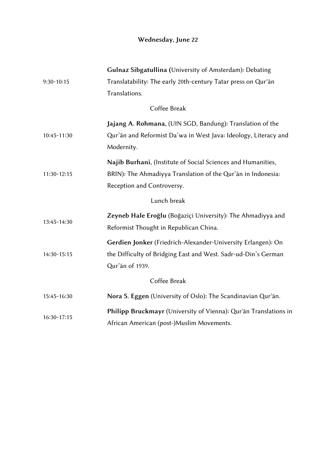## Wednesday, June 22

|               | Gulnaz Sibgatullina (University of Amsterdam): Debating          |  |
|---------------|------------------------------------------------------------------|--|
| $9:30-10:15$  | Translatability: The early 20th-century Tatar press on Qur'an    |  |
|               | Translations.                                                    |  |
| Coffee Break  |                                                                  |  |
|               | Jajang A. Rohmana, (UIN SGD, Bandung): Translation of the        |  |
| 10:45-11:30   | Qur'an and Reformist Da'wa in West Java: Ideology, Literacy and  |  |
|               | Modernity.                                                       |  |
|               | Najib Burhani, (Institute of Social Sciences and Humanities,     |  |
| $11:30-12:15$ | BRIN): The Ahmadiyya Translation of the Qur'an in Indonesia:     |  |
|               | Reception and Controversy.                                       |  |
| Lunch break   |                                                                  |  |
| 13:45-14:30   | Zeyneb Hale Eroğlu (Boğaziçi University): The Ahmadiyya and      |  |
|               | Reformist Thought in Republican China.                           |  |
|               | Gerdien Jonker (Friedrich-Alexander-University Erlangen): On     |  |
| 14:30-15:15   | the Difficulty of Bridging East and West. Sadr-ud-Din's German   |  |
|               | Qur'an of 1939.                                                  |  |
| Coffee Break  |                                                                  |  |
| 15:45-16:30   | Nora S. Eggen (University of Oslo): The Scandinavian Qur'an.     |  |
| $16:30-17:15$ | Philipp Bruckmayr (University of Vienna): Qur'an Translations in |  |
|               | African American (post-)Muslim Movements.                        |  |